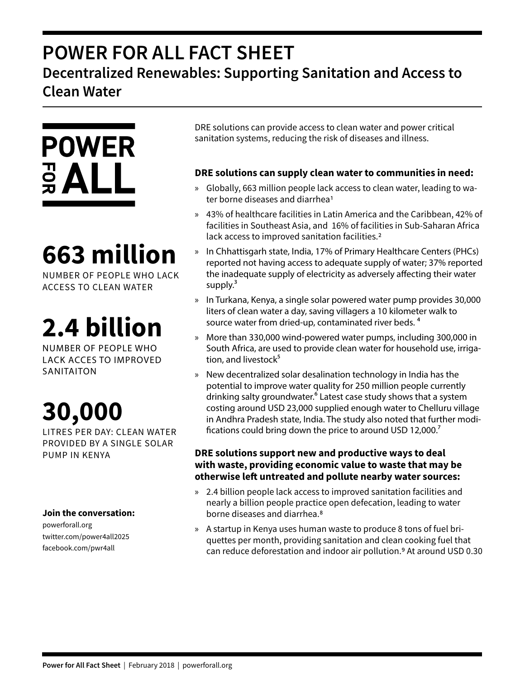### **POWER FOR ALL FACT SHEET Decentralized Renewables: Supporting Sanitation and Access to Clean Water**



# **663 million**

NUMBER OF PEOPLE WHO LACK ACCESS TO CLEAN WATER

# **2.4 billion**

NUMBER OF PEOPLE WHO LACK ACCES TO IMPROVED SANITAITON

# **30,000**

LITRES PER DAY: CLEAN WATER PROVIDED BY A SINGLE SOLAR PUMP IN KENYA

### **Join the conversation:**

powerforall.org twitter.com/power4all2025 facebook.com/pwr4all

DRE solutions can provide access to clean water and power critical sanitation systems, reducing the risk of diseases and illness.

### **DRE solutions can supply clean water to communities in need:**

- » Globally, 663 million people lack access to clean water, leading to water borne diseases and diarrhea<sup>1</sup>
- » 43% of healthcare facilities in Latin America and the Caribbean, 42% of facilities in Southeast Asia, and 16% of facilities in Sub-Saharan Africa lack access to improved sanitation facilities.<sup>2</sup>
- » In Chhattisgarh state, India, 17% of Primary Healthcare Centers (PHCs) reported not having access to adequate supply of water; 37% reported the inadequate supply of electricity as adversely affecting their water supply. $3$
- » In Turkana, Kenya, a single solar powered water pump provides 30,000 liters of clean water a day, saving villagers a 10 kilometer walk to source water from dried-up, contaminated river beds.<sup>4</sup>
- » More than 330,000 wind-powered water pumps, including 300,000 in South Africa, are used to provide clean water for household use, irrigation, and livestock<sup>5</sup>
- » New decentralized solar desalination technology in India has the potential to improve water quality for 250 million people currently drinking salty groundwater.<sup>6</sup> Latest case study shows that a system costing around USD 23,000 supplied enough water to Chelluru village in Andhra Pradesh state, India. The study also noted that further modifications could bring down the price to around USD 12,000. $^7$

### **DRE solutions support new and productive ways to deal with waste, providing economic value to waste that may be otherwise left untreated and pollute nearby water sources:**

- » 2.4 billion people lack access to improved sanitation facilities and nearly a billion people practice open defecation, leading to water borne diseases and diarrhea.8
- » A startup in Kenya uses human waste to produce 8 tons of fuel briquettes per month, providing sanitation and clean cooking fuel that can reduce deforestation and indoor air pollution.<sup>9</sup> At around USD 0.30